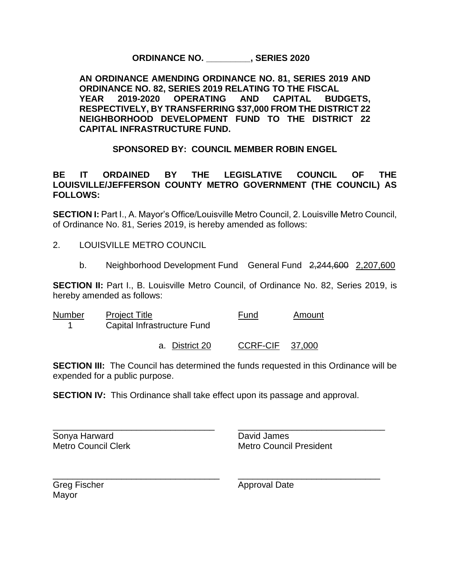**ORDINANCE NO. \_\_\_\_\_\_\_\_\_, SERIES 2020**

**AN ORDINANCE AMENDING ORDINANCE NO. 81, SERIES 2019 AND ORDINANCE NO. 82, SERIES 2019 RELATING TO THE FISCAL YEAR 2019-2020 OPERATING AND CAPITAL BUDGETS, RESPECTIVELY, BY TRANSFERRING \$37,000 FROM THE DISTRICT 22 NEIGHBORHOOD DEVELOPMENT FUND TO THE DISTRICT 22 CAPITAL INFRASTRUCTURE FUND.** 

**SPONSORED BY: COUNCIL MEMBER ROBIN ENGEL**

## **BE IT ORDAINED BY THE LEGISLATIVE COUNCIL OF THE LOUISVILLE/JEFFERSON COUNTY METRO GOVERNMENT (THE COUNCIL) AS FOLLOWS:**

**SECTION I:** Part I., A. Mayor's Office/Louisville Metro Council, 2. Louisville Metro Council, of Ordinance No. 81, Series 2019, is hereby amended as follows:

2. LOUISVILLE METRO COUNCIL

b. Neighborhood Development Fund General Fund 2,244,600 2,207,600

**SECTION II:** Part I., B. Louisville Metro Council, of Ordinance No. 82, Series 2019, is hereby amended as follows:

| <b>Number</b> | <b>Project Title</b><br>Capital Infrastructure Fund | Fund                   | Amount |
|---------------|-----------------------------------------------------|------------------------|--------|
|               | a. District 20                                      | <b>CCRF-CIF 37,000</b> |        |

**SECTION III:** The Council has determined the funds requested in this Ordinance will be expended for a public purpose.

**SECTION IV:** This Ordinance shall take effect upon its passage and approval.

\_\_\_\_\_\_\_\_\_\_\_\_\_\_\_\_\_\_\_\_\_\_\_\_\_\_\_\_\_\_\_\_\_ \_\_\_\_\_\_\_\_\_\_\_\_\_\_\_\_\_\_\_\_\_\_\_\_\_\_\_\_\_\_ Sonya Harward **David James** 

Metro Council Clerk Metro Council President

|       | <b>Greg Fischer</b> |
|-------|---------------------|
| Mayor |                     |

\_\_\_\_\_\_\_\_\_\_\_\_\_\_\_\_\_\_\_\_\_\_\_\_\_\_\_\_\_\_\_\_\_\_ \_\_\_\_\_\_\_\_\_\_\_\_\_\_\_\_\_\_\_\_\_\_\_\_\_\_\_\_\_ Approval Date